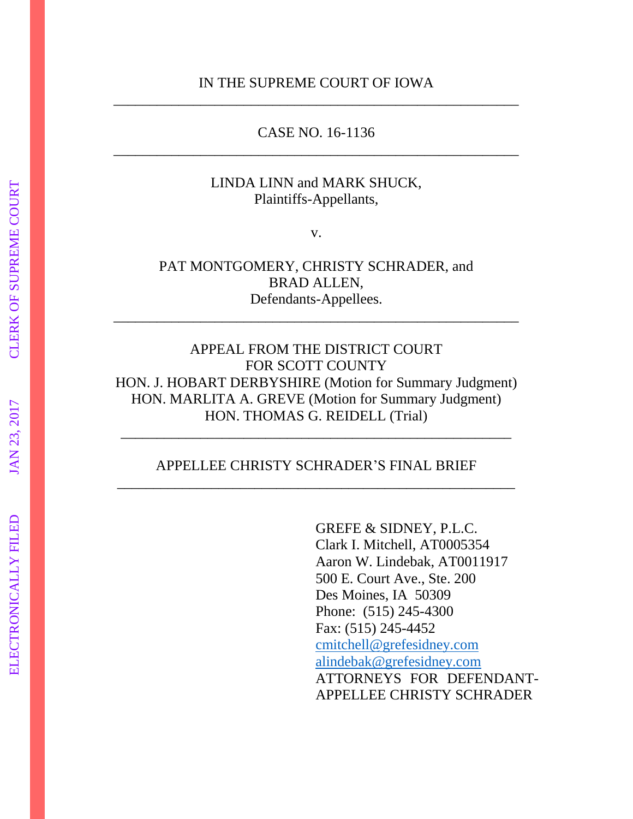### IN THE SUPREME COURT OF IOWA \_\_\_\_\_\_\_\_\_\_\_\_\_\_\_\_\_\_\_\_\_\_\_\_\_\_\_\_\_\_\_\_\_\_\_\_\_\_\_\_\_\_\_\_\_\_\_\_\_\_\_\_\_\_\_\_

### CASE NO. 16-1136 \_\_\_\_\_\_\_\_\_\_\_\_\_\_\_\_\_\_\_\_\_\_\_\_\_\_\_\_\_\_\_\_\_\_\_\_\_\_\_\_\_\_\_\_\_\_\_\_\_\_\_\_\_\_\_\_

### LINDA LINN and MARK SHUCK, Plaintiffs-Appellants,

v.

PAT MONTGOMERY, CHRISTY SCHRADER, and BRAD ALLEN, Defendants-Appellees.

\_\_\_\_\_\_\_\_\_\_\_\_\_\_\_\_\_\_\_\_\_\_\_\_\_\_\_\_\_\_\_\_\_\_\_\_\_\_\_\_\_\_\_\_\_\_\_\_\_\_\_\_\_\_\_\_

APPEAL FROM THE DISTRICT COURT FOR SCOTT COUNTY HON. J. HOBART DERBYSHIRE (Motion for Summary Judgment) HON. MARLITA A. GREVE (Motion for Summary Judgment) HON. THOMAS G. REIDELL (Trial)

### APPELLEE CHRISTY SCHRADER'S FINAL BRIEF \_\_\_\_\_\_\_\_\_\_\_\_\_\_\_\_\_\_\_\_\_\_\_\_\_\_\_\_\_\_\_\_\_\_\_\_\_\_\_\_\_\_\_\_\_\_\_\_\_\_\_\_\_\_\_

\_\_\_\_\_\_\_\_\_\_\_\_\_\_\_\_\_\_\_\_\_\_\_\_\_\_\_\_\_\_\_\_\_\_\_\_\_\_\_\_\_\_\_\_\_\_\_\_\_\_\_\_\_\_

GREFE & SIDNEY, P.L.C. Clark I. Mitchell, AT0005354 Aaron W. Lindebak, AT0011917 500 E. Court Ave., Ste. 200 Des Moines, IA 50309 Phone: (515) 245-4300 Fax: (515) 245-4452 [cmitchell@grefesidney.com](mailto:cmitchell@grefesidney.com) [alindebak@grefesidney.com](mailto:alindebak@grefesidney.com) ATTORNEYS FOR DEFENDANT-APPELLEE CHRISTY SCHRADER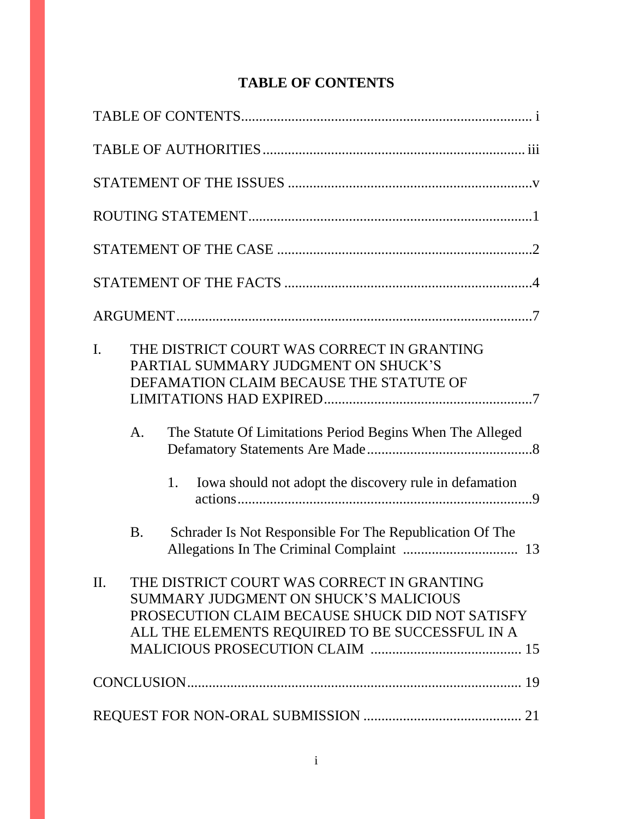# **TABLE OF CONTENTS**

| $\mathbf{I}$ . | THE DISTRICT COURT WAS CORRECT IN GRANTING<br>PARTIAL SUMMARY JUDGMENT ON SHUCK'S<br>DEFAMATION CLAIM BECAUSE THE STATUTE OF                                                              |
|----------------|-------------------------------------------------------------------------------------------------------------------------------------------------------------------------------------------|
|                | The Statute Of Limitations Period Begins When The Alleged<br>A.<br>Iowa should not adopt the discovery rule in defamation<br>1.                                                           |
|                | Schrader Is Not Responsible For The Republication Of The<br><b>B.</b>                                                                                                                     |
| II.            | THE DISTRICT COURT WAS CORRECT IN GRANTING<br>SUMMARY JUDGMENT ON SHUCK'S MALICIOUS<br>PROSECUTION CLAIM BECAUSE SHUCK DID NOT SATISFY<br>ALL THE ELEMENTS REQUIRED TO BE SUCCESSFUL IN A |
|                |                                                                                                                                                                                           |
|                |                                                                                                                                                                                           |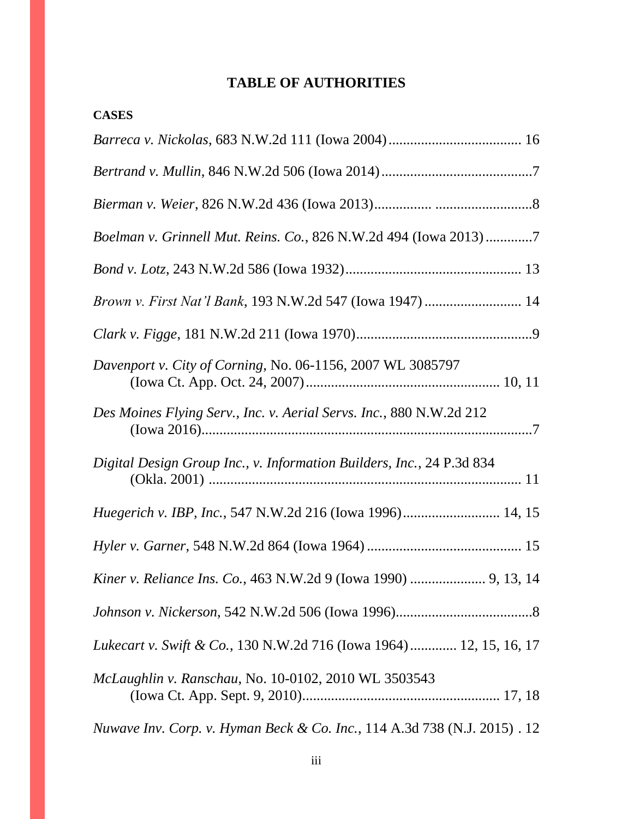# **TABLE OF AUTHORITIES**

| <b>CASES</b>                                                              |
|---------------------------------------------------------------------------|
|                                                                           |
|                                                                           |
|                                                                           |
| Boelman v. Grinnell Mut. Reins. Co., 826 N.W.2d 494 (Iowa 2013)7          |
|                                                                           |
| Brown v. First Nat'l Bank, 193 N.W.2d 547 (Iowa 1947)  14                 |
|                                                                           |
| Davenport v. City of Corning, No. 06-1156, 2007 WL 3085797                |
| Des Moines Flying Serv., Inc. v. Aerial Servs. Inc., 880 N.W.2d 212       |
| Digital Design Group Inc., v. Information Builders, Inc., 24 P.3d 834     |
|                                                                           |
|                                                                           |
| Kiner v. Reliance Ins. Co., 463 N.W.2d 9 (Iowa 1990)  9, 13, 14           |
|                                                                           |
| Lukecart v. Swift & Co., 130 N.W.2d 716 (Iowa 1964) 12, 15, 16, 17        |
| McLaughlin v. Ranschau, No. 10-0102, 2010 WL 3503543                      |
| Nuwave Inv. Corp. v. Hyman Beck & Co. Inc., 114 A.3d 738 (N.J. 2015) . 12 |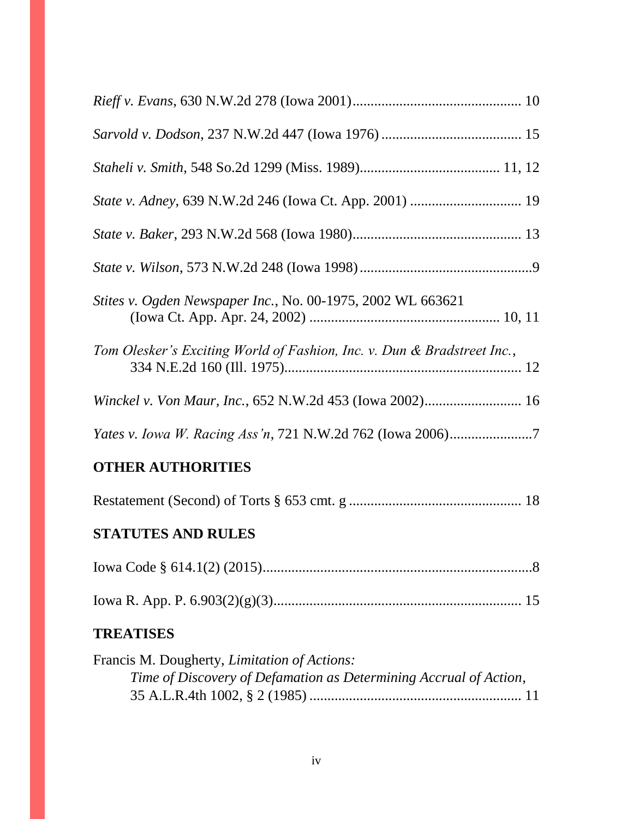| Stites v. Ogden Newspaper Inc., No. 00-1975, 2002 WL 663621                                                               |
|---------------------------------------------------------------------------------------------------------------------------|
| Tom Olesker's Exciting World of Fashion, Inc. v. Dun & Bradstreet Inc.,                                                   |
|                                                                                                                           |
|                                                                                                                           |
| <b>OTHER AUTHORITIES</b>                                                                                                  |
|                                                                                                                           |
| <b>STATUTES AND RULES</b>                                                                                                 |
|                                                                                                                           |
|                                                                                                                           |
| <b>TREATISES</b>                                                                                                          |
| Francis M. Dougherty, <i>Limitation of Actions</i> :<br>Time of Discovery of Defamation as Determining Accrual of Action, |

| Time of Discovery of Defamation as Determining Accrual of Action, |  |
|-------------------------------------------------------------------|--|
|                                                                   |  |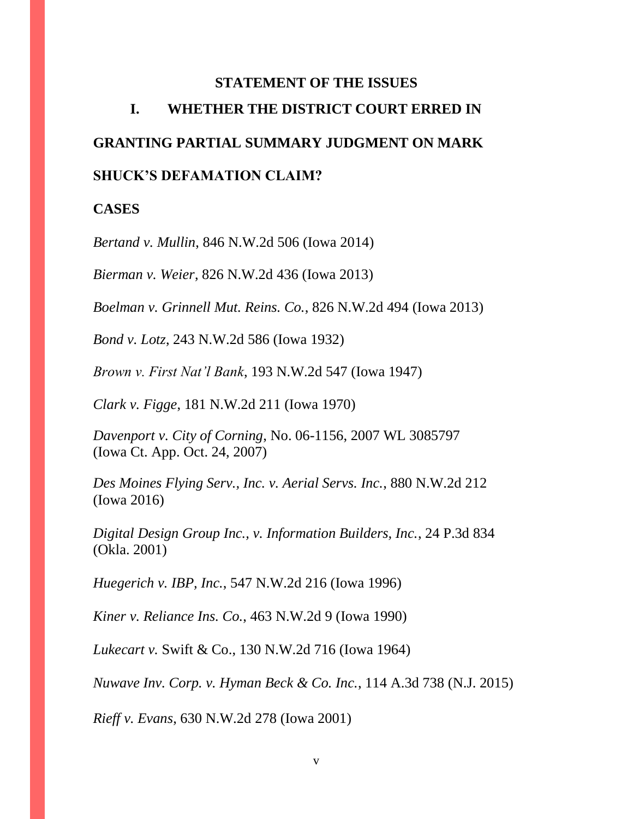### **STATEMENT OF THE ISSUES**

# **I. WHETHER THE DISTRICT COURT ERRED IN GRANTING PARTIAL SUMMARY JUDGMENT ON MARK SHUCK'S DEFAMATION CLAIM?**

### **CASES**

*Bertand v. Mullin*, 846 N.W.2d 506 (Iowa 2014)

*Bierman v. Weier*, 826 N.W.2d 436 (Iowa 2013)

*Boelman v. Grinnell Mut. Reins. Co.*, 826 N.W.2d 494 (Iowa 2013)

*Bond v. Lotz*, 243 N.W.2d 586 (Iowa 1932)

*Brown v. First Nat'l Bank*, 193 N.W.2d 547 (Iowa 1947)

*Clark v. Figge*, 181 N.W.2d 211 (Iowa 1970)

*Davenport v. City of Corning*, No. 06-1156, 2007 WL 3085797 (Iowa Ct. App. Oct. 24, 2007)

*Des Moines Flying Serv., Inc. v. Aerial Servs. Inc.*, 880 N.W.2d 212 (Iowa 2016)

*Digital Design Group Inc., v. Information Builders, Inc.*, 24 P.3d 834 (Okla. 2001)

*Huegerich v. IBP, Inc.*, 547 N.W.2d 216 (Iowa 1996)

*Kiner v. Reliance Ins. Co.*, 463 N.W.2d 9 (Iowa 1990)

*Lukecart v.* Swift & Co., 130 N.W.2d 716 (Iowa 1964)

*Nuwave Inv. Corp. v. Hyman Beck & Co. Inc.*, 114 A.3d 738 (N.J. 2015)

*Rieff v. Evans*, 630 N.W.2d 278 (Iowa 2001)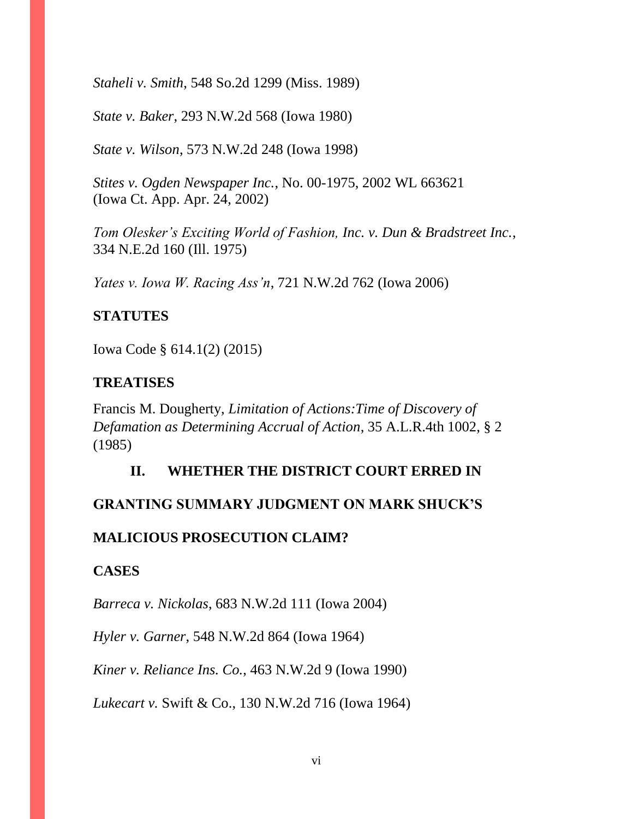*Staheli v. Smith*, 548 So.2d 1299 (Miss. 1989)

*State v. Baker*, 293 N.W.2d 568 (Iowa 1980)

*State v. Wilson*, 573 N.W.2d 248 (Iowa 1998)

*Stites v. Ogden Newspaper Inc.*, No. 00-1975, 2002 WL 663621 (Iowa Ct. App. Apr. 24, 2002)

*Tom Olesker's Exciting World of Fashion, Inc. v. Dun & Bradstreet Inc.*, 334 N.E.2d 160 (Ill. 1975)

*Yates v. Iowa W. Racing Ass'n*, 721 N.W.2d 762 (Iowa 2006)

### **STATUTES**

Iowa Code § 614.1(2) (2015)

## **TREATISES**

Francis M. Dougherty, *Limitation of Actions:Time of Discovery of Defamation as Determining Accrual of Action*, 35 A.L.R.4th 1002, § 2 (1985)

# **II. WHETHER THE DISTRICT COURT ERRED IN**

# **GRANTING SUMMARY JUDGMENT ON MARK SHUCK'S**

### **MALICIOUS PROSECUTION CLAIM?**

### **CASES**

*Barreca v. Nickolas*, 683 N.W.2d 111 (Iowa 2004)

*Hyler v. Garner*, 548 N.W.2d 864 (Iowa 1964)

*Kiner v. Reliance Ins. Co.*, 463 N.W.2d 9 (Iowa 1990)

*Lukecart v.* Swift & Co., 130 N.W.2d 716 (Iowa 1964)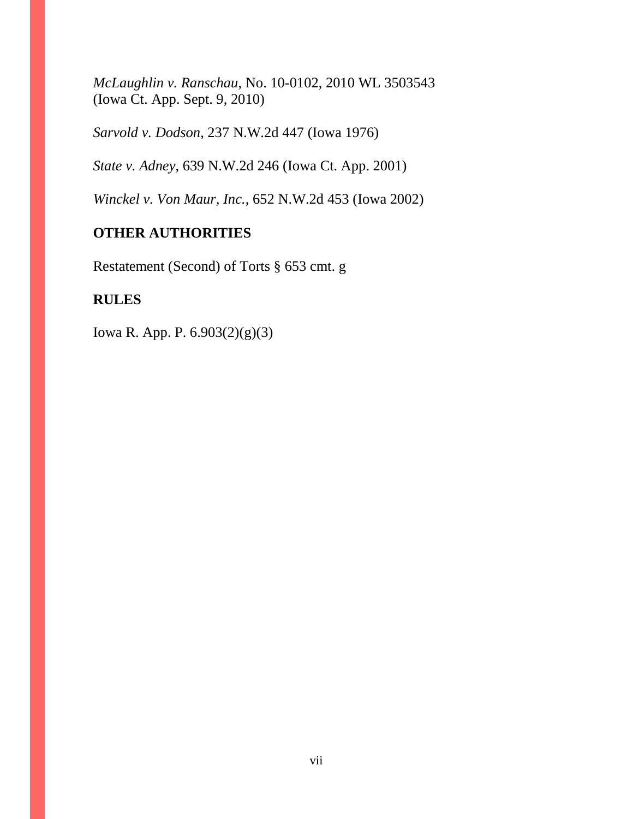*McLaughlin v. Ranschau*, No. 10-0102, 2010 WL 3503543 (Iowa Ct. App. Sept. 9, 2010)

*Sarvold v. Dodson*, 237 N.W.2d 447 (Iowa 1976)

*State v. Adney*, 639 N.W.2d 246 (Iowa Ct. App. 2001)

*Winckel v. Von Maur, Inc.*, 652 N.W.2d 453 (Iowa 2002)

## **OTHER AUTHORITIES**

Restatement (Second) of Torts § 653 cmt. g

### **RULES**

Iowa R. App. P. 6.903(2)(g)(3)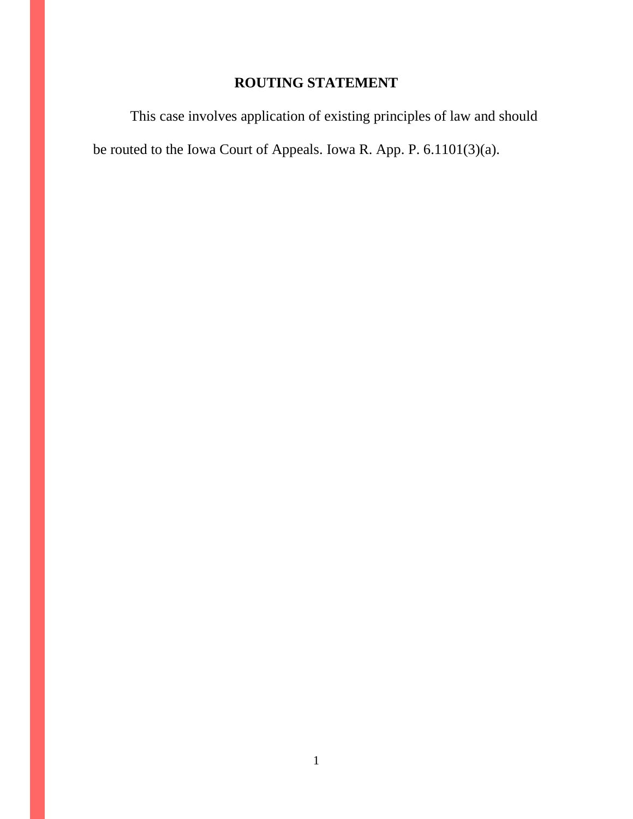# **ROUTING STATEMENT**

This case involves application of existing principles of law and should be routed to the Iowa Court of Appeals. Iowa R. App. P. 6.1101(3)(a).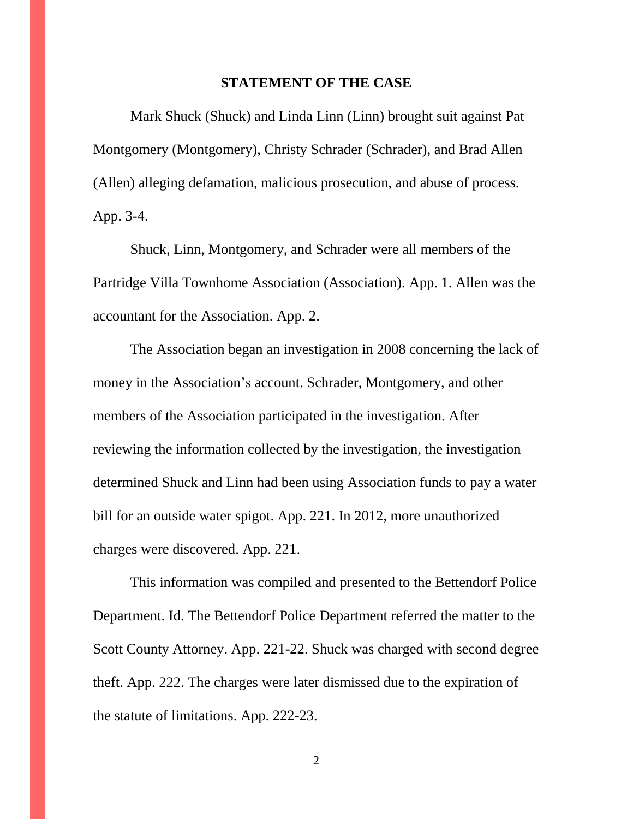#### **STATEMENT OF THE CASE**

Mark Shuck (Shuck) and Linda Linn (Linn) brought suit against Pat Montgomery (Montgomery), Christy Schrader (Schrader), and Brad Allen (Allen) alleging defamation, malicious prosecution, and abuse of process. App. 3-4.

Shuck, Linn, Montgomery, and Schrader were all members of the Partridge Villa Townhome Association (Association). App. 1. Allen was the accountant for the Association. App. 2.

The Association began an investigation in 2008 concerning the lack of money in the Association's account. Schrader, Montgomery, and other members of the Association participated in the investigation. After reviewing the information collected by the investigation, the investigation determined Shuck and Linn had been using Association funds to pay a water bill for an outside water spigot. App. 221. In 2012, more unauthorized charges were discovered. App. 221.

This information was compiled and presented to the Bettendorf Police Department. Id. The Bettendorf Police Department referred the matter to the Scott County Attorney. App. 221-22. Shuck was charged with second degree theft. App. 222. The charges were later dismissed due to the expiration of the statute of limitations. App. 222-23.

2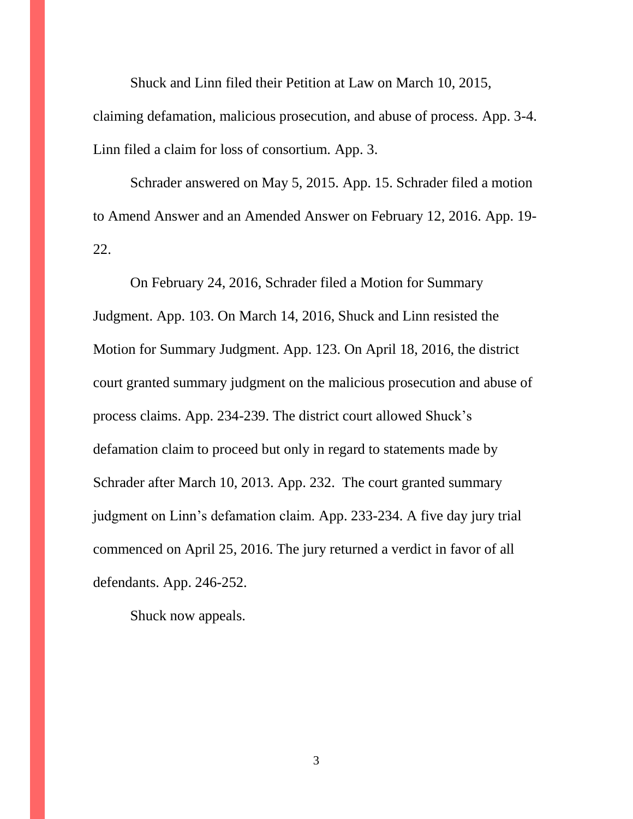Shuck and Linn filed their Petition at Law on March 10, 2015, claiming defamation, malicious prosecution, and abuse of process. App. 3-4. Linn filed a claim for loss of consortium. App. 3.

Schrader answered on May 5, 2015. App. 15. Schrader filed a motion to Amend Answer and an Amended Answer on February 12, 2016. App. 19- 22.

On February 24, 2016, Schrader filed a Motion for Summary Judgment. App. 103. On March 14, 2016, Shuck and Linn resisted the Motion for Summary Judgment. App. 123. On April 18, 2016, the district court granted summary judgment on the malicious prosecution and abuse of process claims. App. 234-239. The district court allowed Shuck's defamation claim to proceed but only in regard to statements made by Schrader after March 10, 2013. App. 232. The court granted summary judgment on Linn's defamation claim. App. 233-234. A five day jury trial commenced on April 25, 2016. The jury returned a verdict in favor of all defendants. App. 246-252.

Shuck now appeals.

3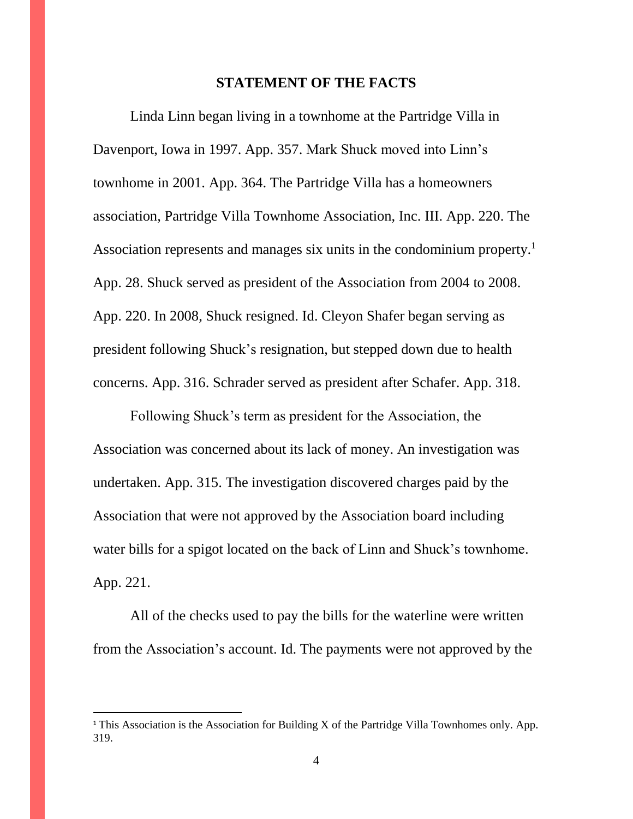#### **STATEMENT OF THE FACTS**

Linda Linn began living in a townhome at the Partridge Villa in Davenport, Iowa in 1997. App. 357. Mark Shuck moved into Linn's townhome in 2001. App. 364. The Partridge Villa has a homeowners association, Partridge Villa Townhome Association, Inc. III. App. 220. The Association represents and manages six units in the condominium property.<sup>1</sup> App. 28. Shuck served as president of the Association from 2004 to 2008. App. 220. In 2008, Shuck resigned. Id. Cleyon Shafer began serving as president following Shuck's resignation, but stepped down due to health concerns. App. 316. Schrader served as president after Schafer. App. 318.

Following Shuck's term as president for the Association, the Association was concerned about its lack of money. An investigation was undertaken. App. 315. The investigation discovered charges paid by the Association that were not approved by the Association board including water bills for a spigot located on the back of Linn and Shuck's townhome. App. 221.

All of the checks used to pay the bills for the waterline were written from the Association's account. Id. The payments were not approved by the

 $\overline{a}$ 

<sup>&</sup>lt;sup>1</sup> This Association is the Association for Building X of the Partridge Villa Townhomes only. App. 319.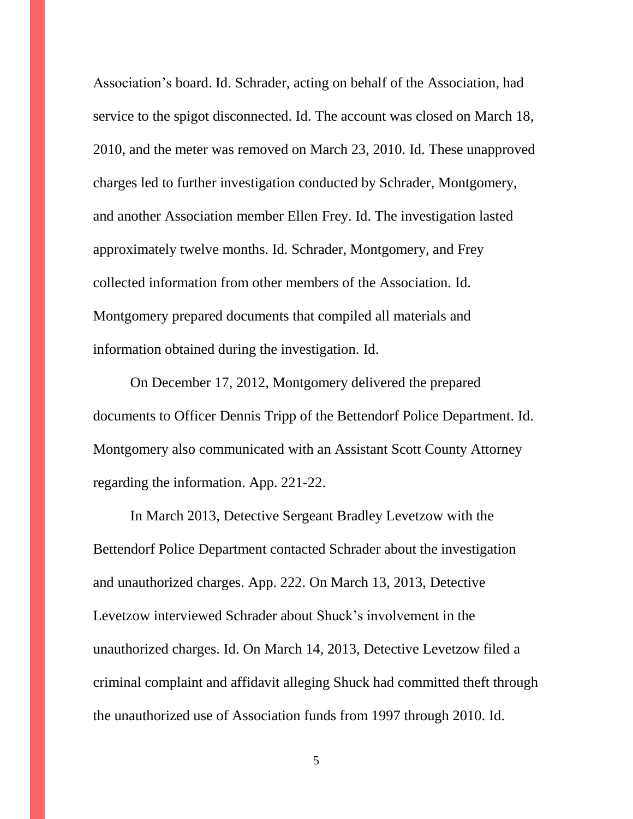Association's board. Id. Schrader, acting on behalf of the Association, had service to the spigot disconnected. Id. The account was closed on March 18, 2010, and the meter was removed on March 23, 2010. Id. These unapproved charges led to further investigation conducted by Schrader, Montgomery, and another Association member Ellen Frey. Id. The investigation lasted approximately twelve months. Id. Schrader, Montgomery, and Frey collected information from other members of the Association. Id. Montgomery prepared documents that compiled all materials and information obtained during the investigation. Id.

On December 17, 2012, Montgomery delivered the prepared documents to Officer Dennis Tripp of the Bettendorf Police Department. Id. Montgomery also communicated with an Assistant Scott County Attorney regarding the information. App. 221-22.

In March 2013, Detective Sergeant Bradley Levetzow with the Bettendorf Police Department contacted Schrader about the investigation and unauthorized charges. App. 222. On March 13, 2013, Detective Levetzow interviewed Schrader about Shuck's involvement in the unauthorized charges. Id. On March 14, 2013, Detective Levetzow filed a criminal complaint and affidavit alleging Shuck had committed theft through the unauthorized use of Association funds from 1997 through 2010. Id.

5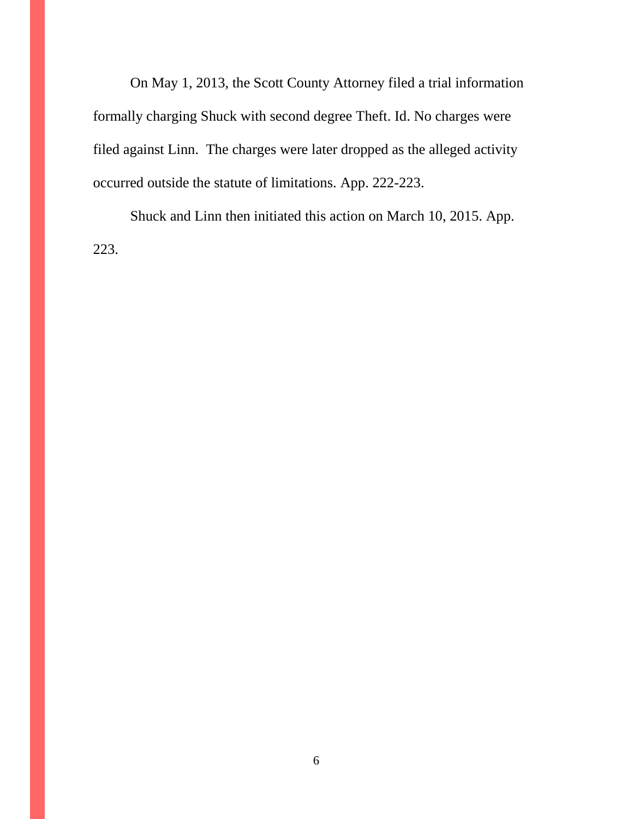On May 1, 2013, the Scott County Attorney filed a trial information formally charging Shuck with second degree Theft. Id. No charges were filed against Linn. The charges were later dropped as the alleged activity occurred outside the statute of limitations. App. 222-223.

Shuck and Linn then initiated this action on March 10, 2015. App. 223.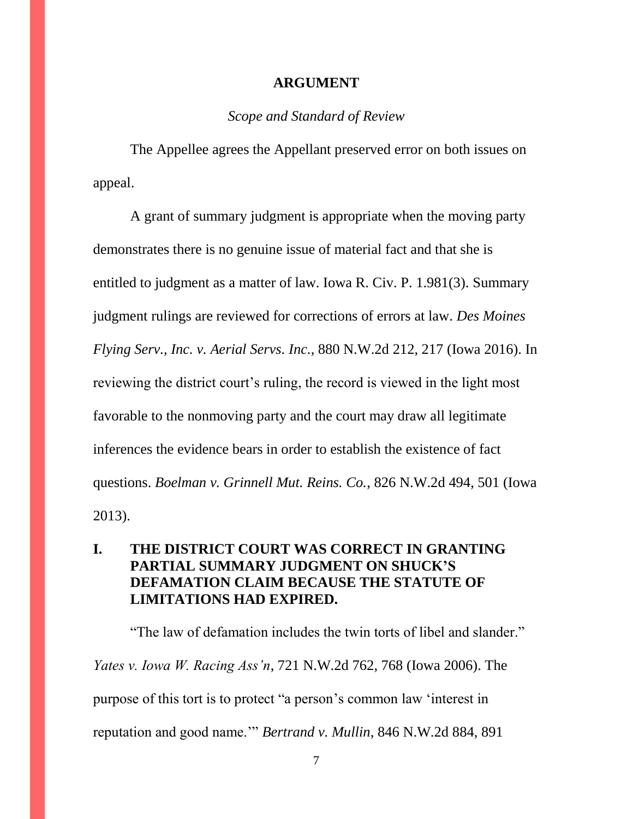#### **ARGUMENT**

### *Scope and Standard of Review*

The Appellee agrees the Appellant preserved error on both issues on appeal.

A grant of summary judgment is appropriate when the moving party demonstrates there is no genuine issue of material fact and that she is entitled to judgment as a matter of law. Iowa R. Civ. P. 1.981(3). Summary judgment rulings are reviewed for corrections of errors at law. *Des Moines Flying Serv., Inc. v. Aerial Servs. Inc.*, 880 N.W.2d 212, 217 (Iowa 2016). In reviewing the district court's ruling, the record is viewed in the light most favorable to the nonmoving party and the court may draw all legitimate inferences the evidence bears in order to establish the existence of fact questions. *Boelman v. Grinnell Mut. Reins. Co.*, 826 N.W.2d 494, 501 (Iowa 2013).

## **I. THE DISTRICT COURT WAS CORRECT IN GRANTING PARTIAL SUMMARY JUDGMENT ON SHUCK'S DEFAMATION CLAIM BECAUSE THE STATUTE OF LIMITATIONS HAD EXPIRED.**

"The law of defamation includes the twin torts of libel and slander." *Yates v. Iowa W. Racing Ass'n*, 721 N.W.2d 762, 768 (Iowa 2006). The purpose of this tort is to protect "a person's common law 'interest in reputation and good name.'" *Bertrand v. Mullin*, 846 N.W.2d 884, 891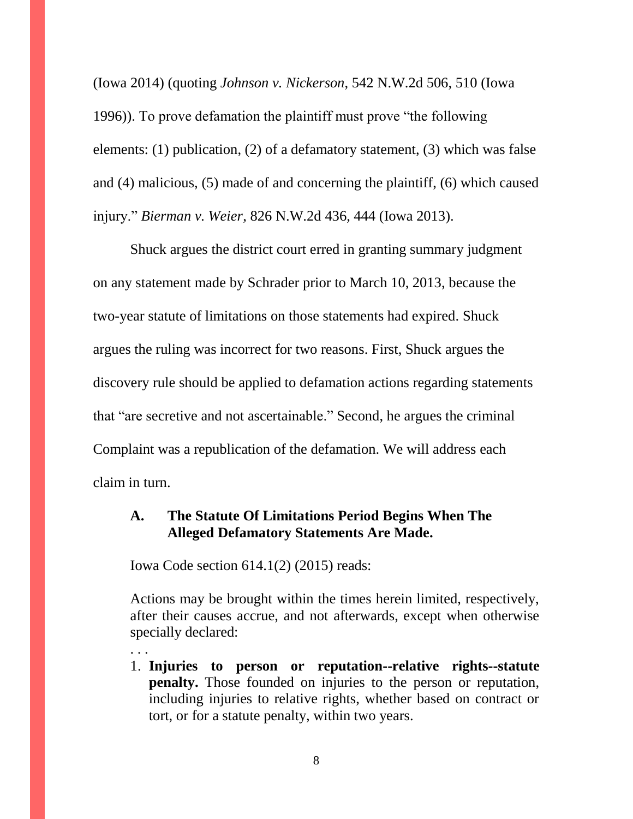(Iowa 2014) (quoting *Johnson v. Nickerson*, 542 N.W.2d 506, 510 (Iowa 1996)). To prove defamation the plaintiff must prove "the following elements: (1) publication, (2) of a defamatory statement, (3) which was false and (4) malicious, (5) made of and concerning the plaintiff, (6) which caused injury." *Bierman v. Weier*, 826 N.W.2d 436, 444 (Iowa 2013).

Shuck argues the district court erred in granting summary judgment on any statement made by Schrader prior to March 10, 2013, because the two-year statute of limitations on those statements had expired. Shuck argues the ruling was incorrect for two reasons. First, Shuck argues the discovery rule should be applied to defamation actions regarding statements that "are secretive and not ascertainable." Second, he argues the criminal Complaint was a republication of the defamation. We will address each claim in turn.

### **A. The Statute Of Limitations Period Begins When The Alleged Defamatory Statements Are Made.**

Iowa Code section 614.1(2) (2015) reads:

. . .

Actions may be brought within the times herein limited, respectively, after their causes accrue, and not afterwards, except when otherwise specially declared:

1. **Injuries to person or reputation--relative rights--statute penalty.** Those founded on injuries to the person or reputation, including injuries to relative rights, whether based on contract or tort, or for a statute penalty, within two years.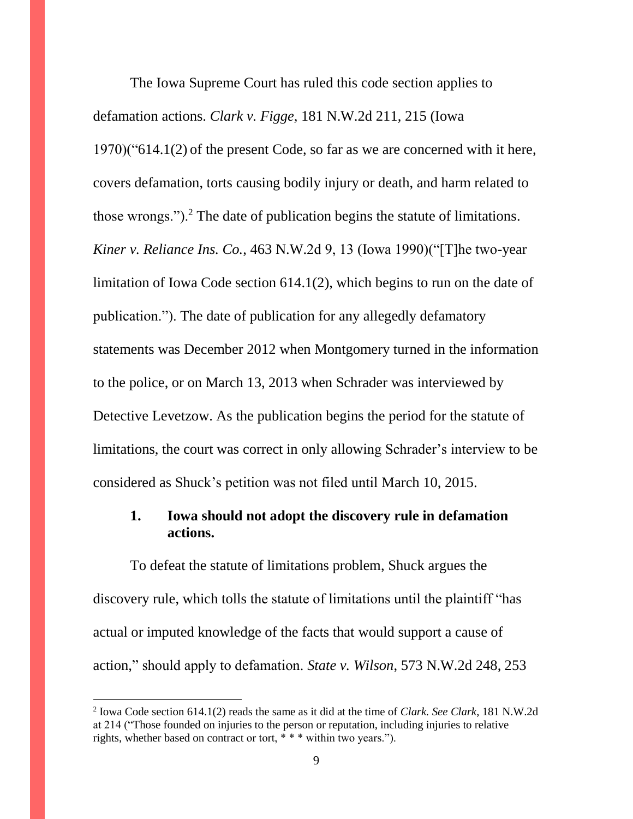The Iowa Supreme Court has ruled this code section applies to defamation actions. *Clark v. Figge*, 181 N.W.2d 211, 215 (Iowa 1970)("614.1(2) of the present Code, so far as we are concerned with it here, covers defamation, torts causing bodily injury or death, and harm related to those wrongs.").<sup>2</sup> The date of publication begins the statute of limitations. *Kiner v. Reliance Ins. Co.*, 463 N.W.2d 9, 13 (Iowa 1990)("[T]he two-year limitation of Iowa Code section 614.1(2), which begins to run on the date of publication."). The date of publication for any allegedly defamatory statements was December 2012 when Montgomery turned in the information to the police, or on March 13, 2013 when Schrader was interviewed by Detective Levetzow. As the publication begins the period for the statute of limitations, the court was correct in only allowing Schrader's interview to be considered as Shuck's petition was not filed until March 10, 2015.

## **1. Iowa should not adopt the discovery rule in defamation actions.**

To defeat the statute of limitations problem, Shuck argues the discovery rule, which tolls the statute of limitations until the plaintiff "has actual or imputed knowledge of the facts that would support a cause of action," should apply to defamation. *State v. Wilson*, 573 N.W.2d 248, 253

 $\overline{a}$ 

<sup>2</sup> Iowa Code section 614.1(2) reads the same as it did at the time of *Clark. See Clark*, 181 N.W.2d at 214 ("Those founded on injuries to the person or reputation, including injuries to relative rights, whether based on contract or tort, \* \* \* within two years.").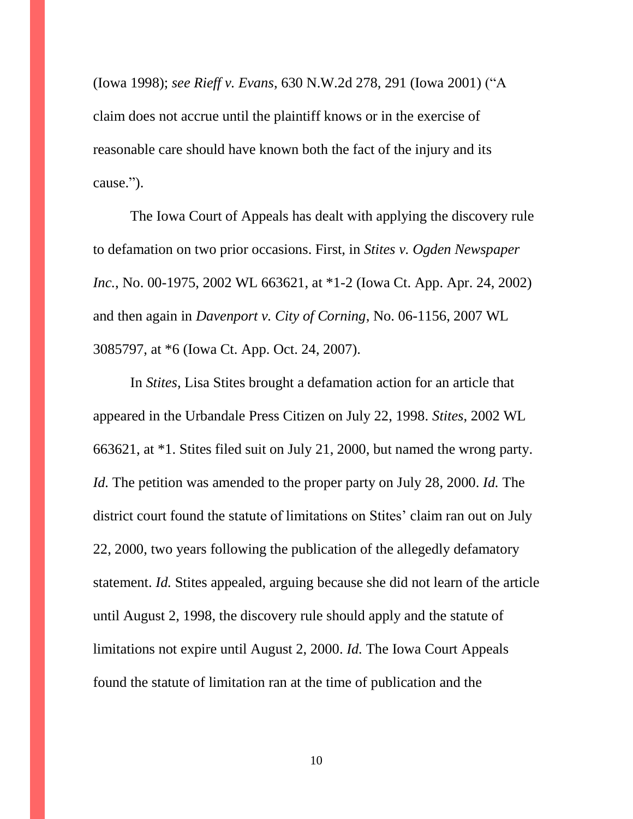(Iowa 1998); *see Rieff v. Evans*, 630 N.W.2d 278, 291 (Iowa 2001) ("A claim does not accrue until the plaintiff knows or in the exercise of reasonable care should have known both the fact of the injury and its cause.").

The Iowa Court of Appeals has dealt with applying the discovery rule to defamation on two prior occasions. First, in *Stites v. Ogden Newspaper Inc.*, No. 00-1975, 2002 WL 663621, at \*1-2 (Iowa Ct. App. Apr. 24, 2002) and then again in *Davenport v. City of Corning*, No. 06-1156, 2007 WL 3085797, at \*6 (Iowa Ct. App. Oct. 24, 2007).

In *Stites*, Lisa Stites brought a defamation action for an article that appeared in the Urbandale Press Citizen on July 22, 1998. *Stites*, 2002 WL 663621, at \*1. Stites filed suit on July 21, 2000, but named the wrong party. *Id.* The petition was amended to the proper party on July 28, 2000. *Id.* The district court found the statute of limitations on Stites' claim ran out on July 22, 2000, two years following the publication of the allegedly defamatory statement. *Id.* Stites appealed, arguing because she did not learn of the article until August 2, 1998, the discovery rule should apply and the statute of limitations not expire until August 2, 2000. *Id.* The Iowa Court Appeals found the statute of limitation ran at the time of publication and the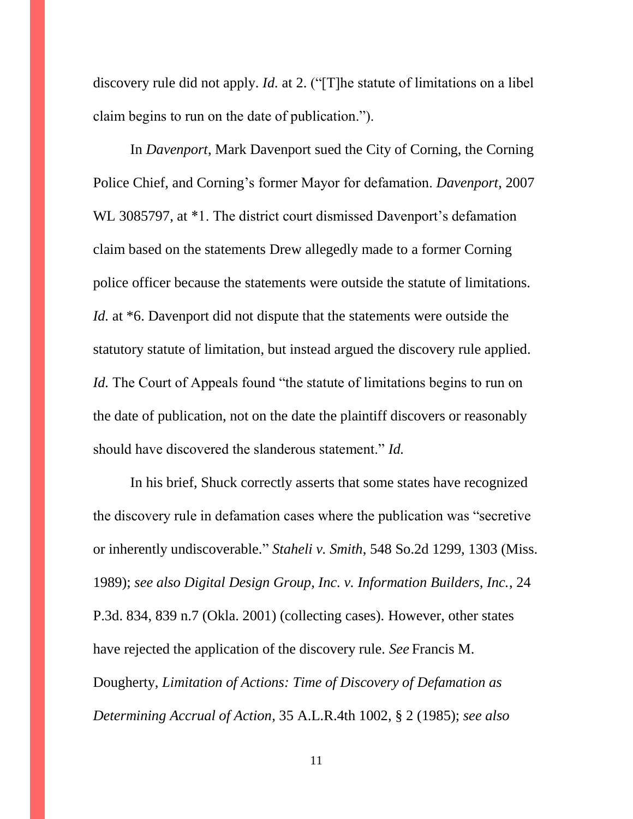discovery rule did not apply. *Id.* at 2. ("[T]he statute of limitations on a libel claim begins to run on the date of publication.").

In *Davenport*, Mark Davenport sued the City of Corning, the Corning Police Chief, and Corning's former Mayor for defamation. *Davenport*, 2007 WL 3085797, at \*1. The district court dismissed Davenport's defamation claim based on the statements Drew allegedly made to a former Corning police officer because the statements were outside the statute of limitations. *Id.* at \*6. Davenport did not dispute that the statements were outside the statutory statute of limitation, but instead argued the discovery rule applied. *Id.* The Court of Appeals found "the statute of limitations begins to run on the date of publication, not on the date the plaintiff discovers or reasonably should have discovered the slanderous statement." *Id.*

In his brief, Shuck correctly asserts that some states have recognized the discovery rule in defamation cases where the publication was "secretive or inherently undiscoverable." *Staheli v. Smith*, 548 So.2d 1299, 1303 (Miss. 1989); *see also Digital Design Group, Inc. v. Information Builders, Inc.*, 24 P.3d. 834, 839 n.7 (Okla. 2001) (collecting cases). However, other states have rejected the application of the discovery rule. *See* Francis M. Dougherty, *Limitation of Actions: Time of Discovery of Defamation as Determining Accrual of Action*, 35 A.L.R.4th 1002, § 2 (1985); *see also* 

11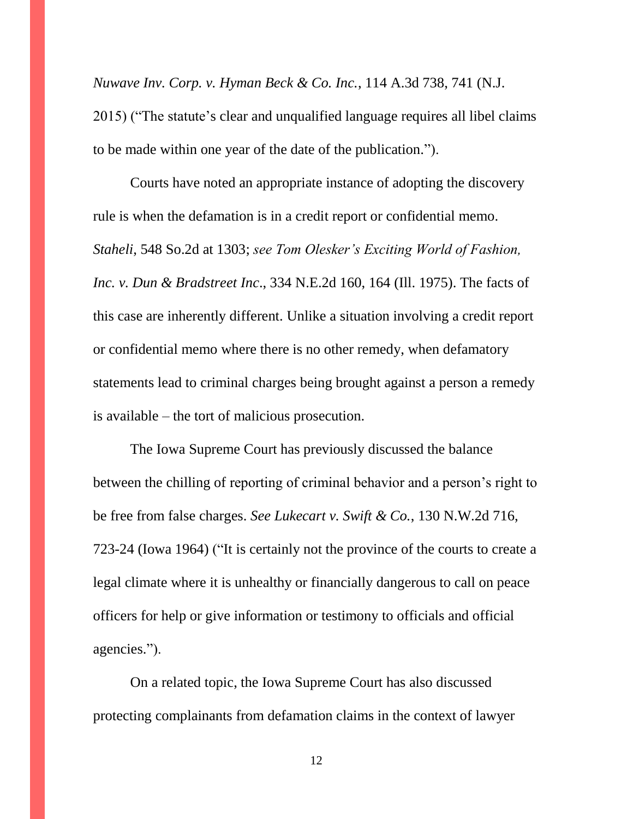*Nuwave Inv. Corp. v. Hyman Beck & Co. Inc.*, 114 A.3d 738, 741 (N.J.

2015) ("The statute's clear and unqualified language requires all libel claims to be made within one year of the date of the publication.").

Courts have noted an appropriate instance of adopting the discovery rule is when the defamation is in a credit report or confidential memo. *Staheli*, 548 So.2d at 1303; *see Tom Olesker's Exciting World of Fashion, Inc. v. Dun & Bradstreet Inc*., 334 N.E.2d 160, 164 (Ill. 1975). The facts of this case are inherently different. Unlike a situation involving a credit report or confidential memo where there is no other remedy, when defamatory statements lead to criminal charges being brought against a person a remedy is available – the tort of malicious prosecution.

The Iowa Supreme Court has previously discussed the balance between the chilling of reporting of criminal behavior and a person's right to be free from false charges. *See Lukecart v. Swift & Co.*, 130 N.W.2d 716, 723-24 (Iowa 1964) ("It is certainly not the province of the courts to create a legal climate where it is unhealthy or financially dangerous to call on peace officers for help or give information or testimony to officials and official agencies.").

On a related topic, the Iowa Supreme Court has also discussed protecting complainants from defamation claims in the context of lawyer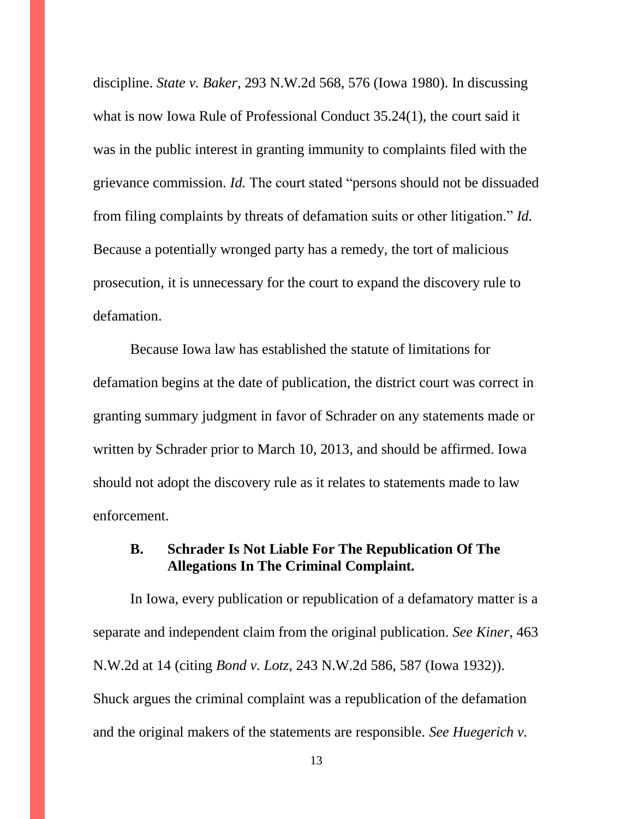discipline. *State v. Baker*, 293 N.W.2d 568, 576 (Iowa 1980). In discussing what is now Iowa Rule of Professional Conduct 35.24(1), the court said it was in the public interest in granting immunity to complaints filed with the grievance commission. *Id.* The court stated "persons should not be dissuaded from filing complaints by threats of defamation suits or other litigation." *Id.* Because a potentially wronged party has a remedy, the tort of malicious prosecution, it is unnecessary for the court to expand the discovery rule to defamation.

Because Iowa law has established the statute of limitations for defamation begins at the date of publication, the district court was correct in granting summary judgment in favor of Schrader on any statements made or written by Schrader prior to March 10, 2013, and should be affirmed. Iowa should not adopt the discovery rule as it relates to statements made to law enforcement.

### **B. Schrader Is Not Liable For The Republication Of The Allegations In The Criminal Complaint.**

In Iowa, every publication or republication of a defamatory matter is a separate and independent claim from the original publication. *See Kiner*, 463 N.W.2d at 14 (citing *Bond v. Lotz*, 243 N.W.2d 586, 587 (Iowa 1932)). Shuck argues the criminal complaint was a republication of the defamation and the original makers of the statements are responsible. *See Huegerich v.* 

13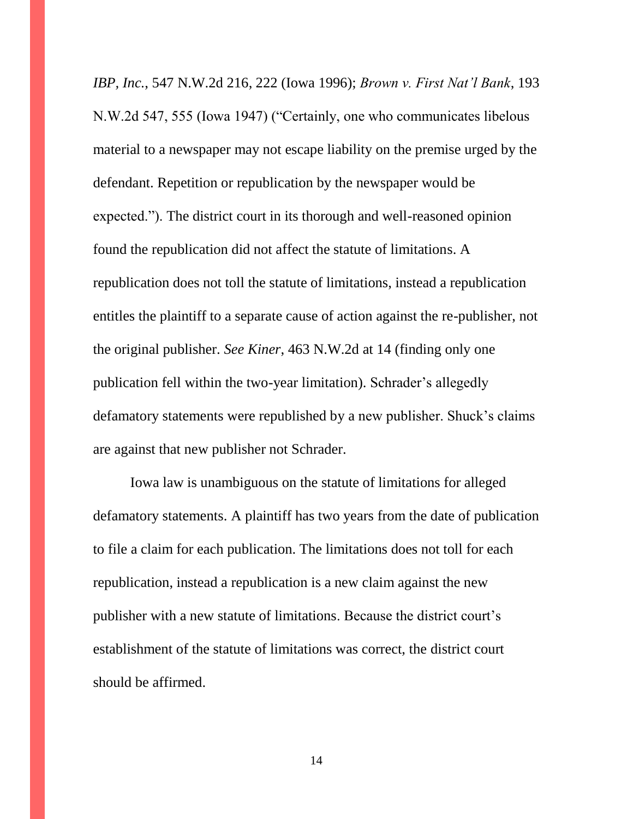*IBP, Inc.*, 547 N.W.2d 216, 222 (Iowa 1996); *Brown v. First Nat'l Bank*, 193 N.W.2d 547, 555 (Iowa 1947) ("Certainly, one who communicates libelous material to a newspaper may not escape liability on the premise urged by the defendant. Repetition or republication by the newspaper would be expected."). The district court in its thorough and well-reasoned opinion found the republication did not affect the statute of limitations. A republication does not toll the statute of limitations, instead a republication entitles the plaintiff to a separate cause of action against the re-publisher, not the original publisher. *See Kiner*, 463 N.W.2d at 14 (finding only one publication fell within the two-year limitation). Schrader's allegedly defamatory statements were republished by a new publisher. Shuck's claims are against that new publisher not Schrader.

Iowa law is unambiguous on the statute of limitations for alleged defamatory statements. A plaintiff has two years from the date of publication to file a claim for each publication. The limitations does not toll for each republication, instead a republication is a new claim against the new publisher with a new statute of limitations. Because the district court's establishment of the statute of limitations was correct, the district court should be affirmed.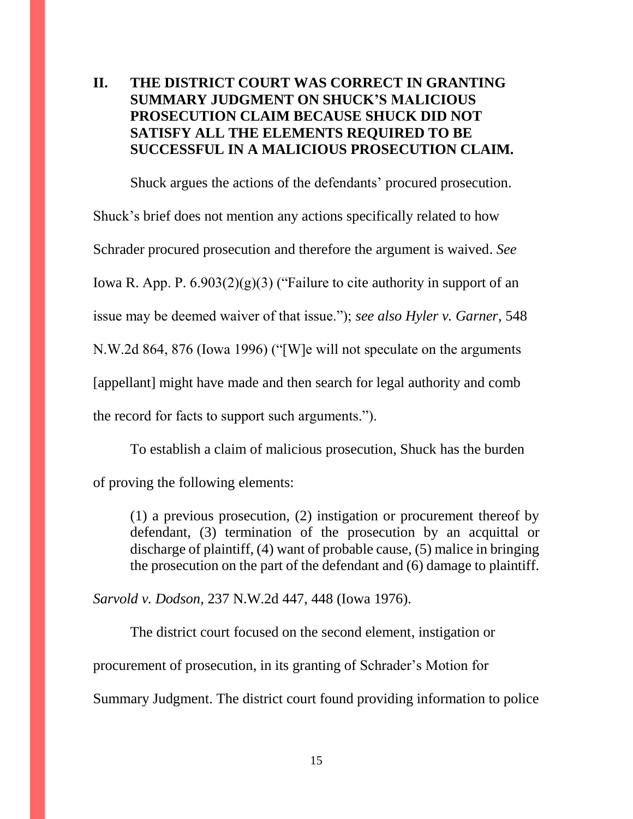## **II. THE DISTRICT COURT WAS CORRECT IN GRANTING SUMMARY JUDGMENT ON SHUCK'S MALICIOUS PROSECUTION CLAIM BECAUSE SHUCK DID NOT SATISFY ALL THE ELEMENTS REQUIRED TO BE SUCCESSFUL IN A MALICIOUS PROSECUTION CLAIM.**

Shuck argues the actions of the defendants' procured prosecution. Shuck's brief does not mention any actions specifically related to how Schrader procured prosecution and therefore the argument is waived. *See* Iowa R. App. P.  $6.903(2)(g)(3)$  ("Failure to cite authority in support of an issue may be deemed waiver of that issue."); *see also Hyler v. Garner*, 548 N.W.2d 864, 876 (Iowa 1996) ("[W]e will not speculate on the arguments [appellant] might have made and then search for legal authority and comb the record for facts to support such arguments.").

To establish a claim of malicious prosecution, Shuck has the burden of proving the following elements:

(1) a previous prosecution, (2) instigation or procurement thereof by defendant, (3) termination of the prosecution by an acquittal or discharge of plaintiff, (4) want of probable cause, (5) malice in bringing the prosecution on the part of the defendant and (6) damage to plaintiff.

*Sarvold v. Dodson*, 237 N.W.2d 447, 448 (Iowa 1976).

The district court focused on the second element, instigation or

procurement of prosecution, in its granting of Schrader's Motion for

Summary Judgment. The district court found providing information to police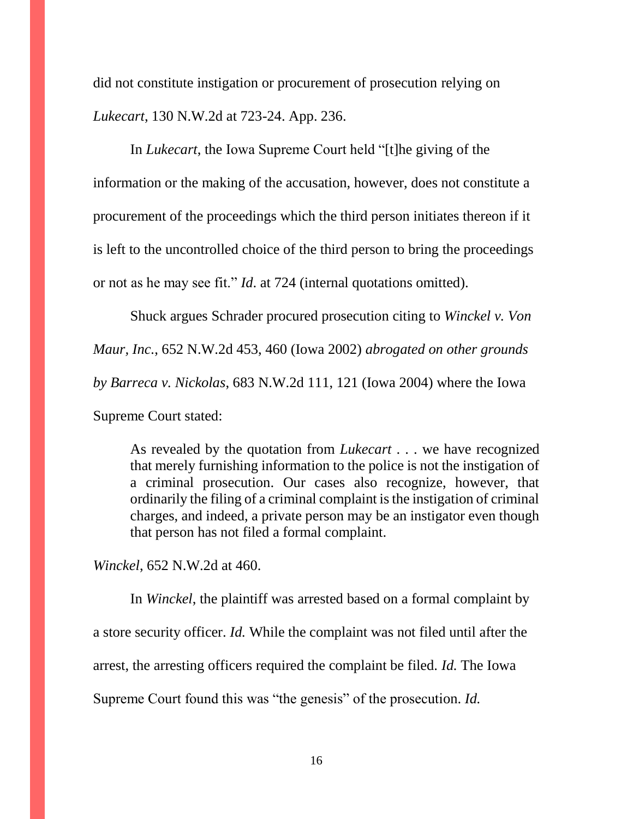did not constitute instigation or procurement of prosecution relying on *Lukecart*, 130 N.W.2d at 723-24. App. 236.

In *Lukecart*, the Iowa Supreme Court held "[t]he giving of the information or the making of the accusation, however, does not constitute a procurement of the proceedings which the third person initiates thereon if it is left to the uncontrolled choice of the third person to bring the proceedings or not as he may see fit." *Id*. at 724 (internal quotations omitted).

Shuck argues Schrader procured prosecution citing to *Winckel v. Von Maur, Inc.*, 652 N.W.2d 453, 460 (Iowa 2002) *abrogated on other grounds by Barreca v. Nickolas*, 683 N.W.2d 111, 121 (Iowa 2004) where the Iowa Supreme Court stated:

As revealed by the quotation from *Lukecart* . . . we have recognized that merely furnishing information to the police is not the instigation of a criminal prosecution. Our cases also recognize, however, that ordinarily the filing of a criminal complaint is the instigation of criminal charges, and indeed, a private person may be an instigator even though that person has not filed a formal complaint.

*Winckel*, 652 N.W.2d at 460.

In *Winckel*, the plaintiff was arrested based on a formal complaint by a store security officer. *Id.* While the complaint was not filed until after the arrest, the arresting officers required the complaint be filed. *Id.* The Iowa Supreme Court found this was "the genesis" of the prosecution. *Id.*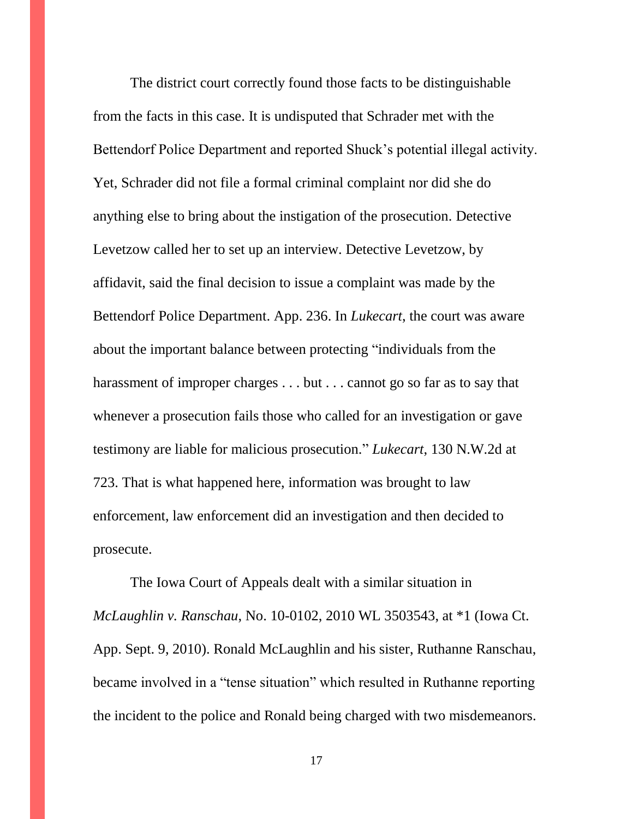The district court correctly found those facts to be distinguishable from the facts in this case. It is undisputed that Schrader met with the Bettendorf Police Department and reported Shuck's potential illegal activity. Yet, Schrader did not file a formal criminal complaint nor did she do anything else to bring about the instigation of the prosecution. Detective Levetzow called her to set up an interview. Detective Levetzow, by affidavit, said the final decision to issue a complaint was made by the Bettendorf Police Department. App. 236. In *Lukecart*, the court was aware about the important balance between protecting "individuals from the harassment of improper charges . . . but . . . cannot go so far as to say that whenever a prosecution fails those who called for an investigation or gave testimony are liable for malicious prosecution." *Lukecart*, 130 N.W.2d at 723. That is what happened here, information was brought to law enforcement, law enforcement did an investigation and then decided to prosecute.

The Iowa Court of Appeals dealt with a similar situation in *McLaughlin v. Ranschau*, No. 10-0102, 2010 WL 3503543, at \*1 (Iowa Ct. App. Sept. 9, 2010). Ronald McLaughlin and his sister, Ruthanne Ranschau, became involved in a "tense situation" which resulted in Ruthanne reporting the incident to the police and Ronald being charged with two misdemeanors.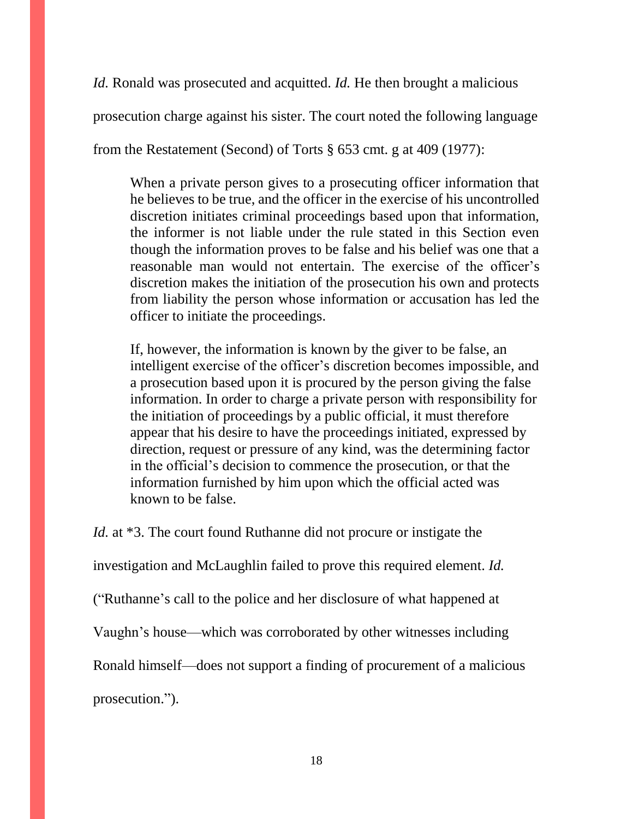*Id.* Ronald was prosecuted and acquitted. *Id.* He then brought a malicious

prosecution charge against his sister. The court noted the following language

from the Restatement (Second) of Torts § 653 cmt. g at 409 (1977):

When a private person gives to a prosecuting officer information that he believes to be true, and the officer in the exercise of his uncontrolled discretion initiates criminal proceedings based upon that information, the informer is not liable under the rule stated in this Section even though the information proves to be false and his belief was one that a reasonable man would not entertain. The exercise of the officer's discretion makes the initiation of the prosecution his own and protects from liability the person whose information or accusation has led the officer to initiate the proceedings.

If, however, the information is known by the giver to be false, an intelligent exercise of the officer's discretion becomes impossible, and a prosecution based upon it is procured by the person giving the false information. In order to charge a private person with responsibility for the initiation of proceedings by a public official, it must therefore appear that his desire to have the proceedings initiated, expressed by direction, request or pressure of any kind, was the determining factor in the official's decision to commence the prosecution, or that the information furnished by him upon which the official acted was known to be false.

*Id.* at \*3. The court found Ruthanne did not procure or instigate the

investigation and McLaughlin failed to prove this required element. *Id.*

("Ruthanne's call to the police and her disclosure of what happened at

Vaughn's house—which was corroborated by other witnesses including

Ronald himself—does not support a finding of procurement of a malicious

prosecution.").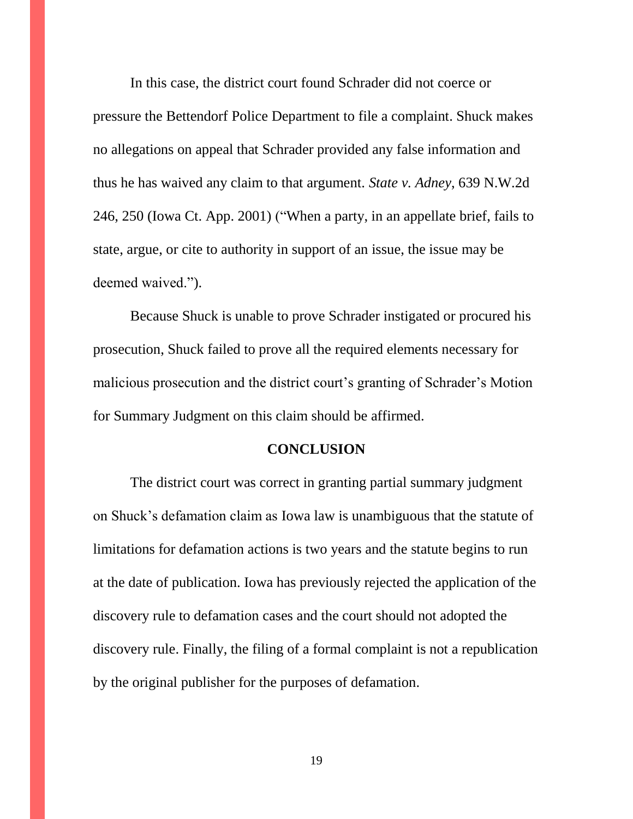In this case, the district court found Schrader did not coerce or pressure the Bettendorf Police Department to file a complaint. Shuck makes no allegations on appeal that Schrader provided any false information and thus he has waived any claim to that argument. *State v. Adney*, 639 N.W.2d 246, 250 (Iowa Ct. App. 2001) ("When a party, in an appellate brief, fails to state, argue, or cite to authority in support of an issue, the issue may be deemed waived.").

Because Shuck is unable to prove Schrader instigated or procured his prosecution, Shuck failed to prove all the required elements necessary for malicious prosecution and the district court's granting of Schrader's Motion for Summary Judgment on this claim should be affirmed.

### **CONCLUSION**

The district court was correct in granting partial summary judgment on Shuck's defamation claim as Iowa law is unambiguous that the statute of limitations for defamation actions is two years and the statute begins to run at the date of publication. Iowa has previously rejected the application of the discovery rule to defamation cases and the court should not adopted the discovery rule. Finally, the filing of a formal complaint is not a republication by the original publisher for the purposes of defamation.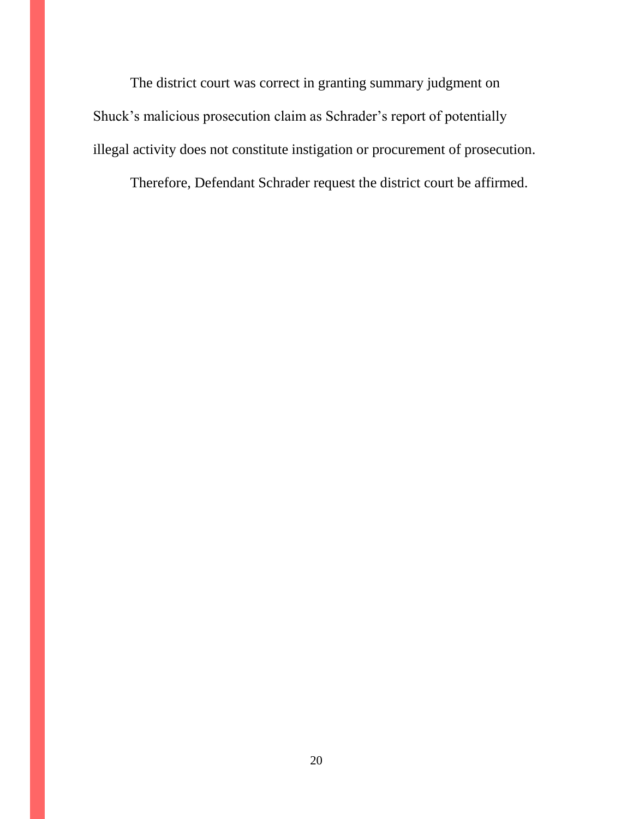The district court was correct in granting summary judgment on Shuck's malicious prosecution claim as Schrader's report of potentially illegal activity does not constitute instigation or procurement of prosecution.

Therefore, Defendant Schrader request the district court be affirmed.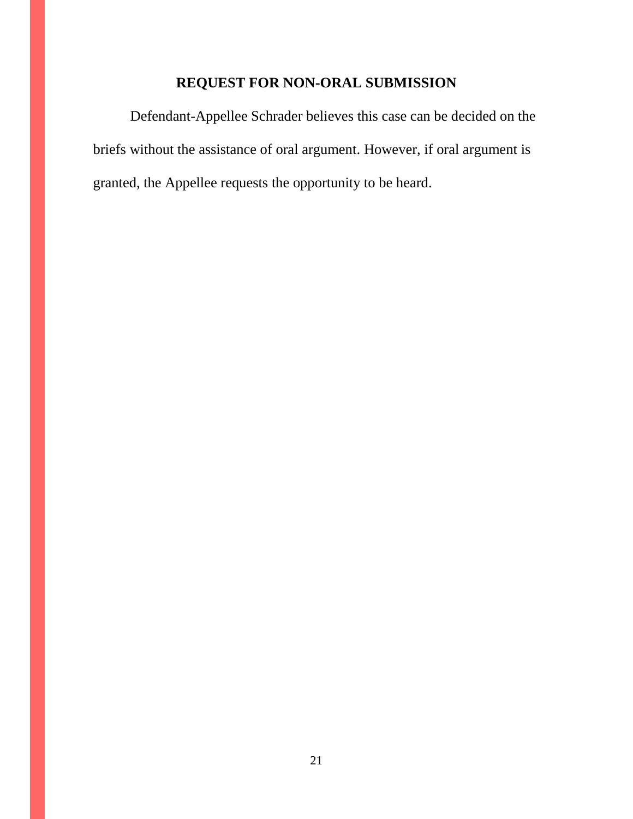# **REQUEST FOR NON-ORAL SUBMISSION**

Defendant-Appellee Schrader believes this case can be decided on the briefs without the assistance of oral argument. However, if oral argument is granted, the Appellee requests the opportunity to be heard.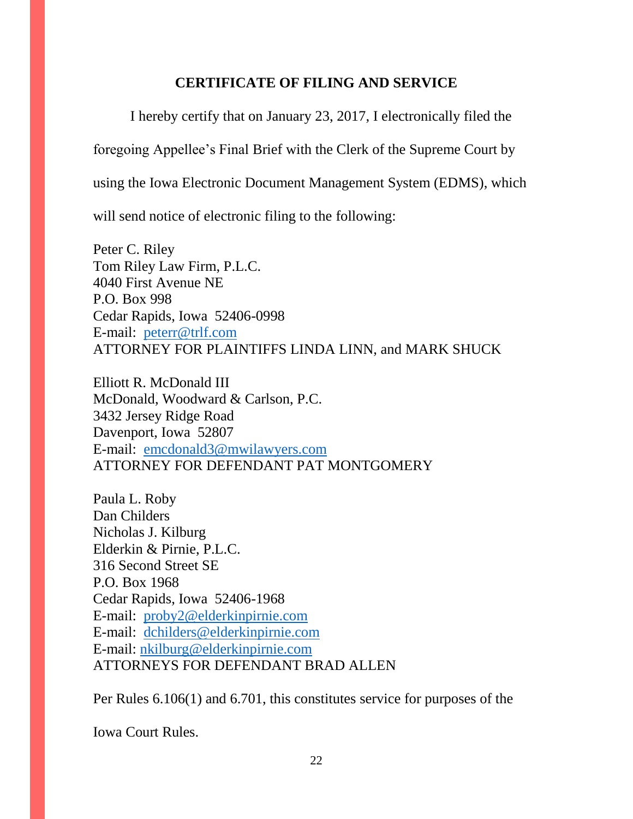### **CERTIFICATE OF FILING AND SERVICE**

I hereby certify that on January 23, 2017, I electronically filed the

foregoing Appellee's Final Brief with the Clerk of the Supreme Court by

using the Iowa Electronic Document Management System (EDMS), which

will send notice of electronic filing to the following:

Peter C. Riley Tom Riley Law Firm, P.L.C. 4040 First Avenue NE P.O. Box 998 Cedar Rapids, Iowa 52406-0998 E-mail: [peterr@trlf.com](mailto:peterr@trlf.com) ATTORNEY FOR PLAINTIFFS LINDA LINN, and MARK SHUCK

Elliott R. McDonald III McDonald, Woodward & Carlson, P.C. 3432 Jersey Ridge Road Davenport, Iowa 52807 E-mail: [emcdonald3@mwilawyers.com](mailto:emcdonald3@mwilawyers.com) ATTORNEY FOR DEFENDANT PAT MONTGOMERY

Paula L. Roby Dan Childers Nicholas J. Kilburg Elderkin & Pirnie, P.L.C. 316 Second Street SE P.O. Box 1968 Cedar Rapids, Iowa 52406-1968 E-mail: [proby2@elderkinpirnie.com](mailto:proby2@elderkinpirnie.com) E-mail: [dchilders@elderkinpirnie.com](mailto:dchilders@elderkinpirnie.com) E-mail: [nkilburg@elderkinpirnie.com](mailto:nkilburg@elderkinpirnie.com) ATTORNEYS FOR DEFENDANT BRAD ALLEN

Per Rules 6.106(1) and 6.701, this constitutes service for purposes of the

Iowa Court Rules.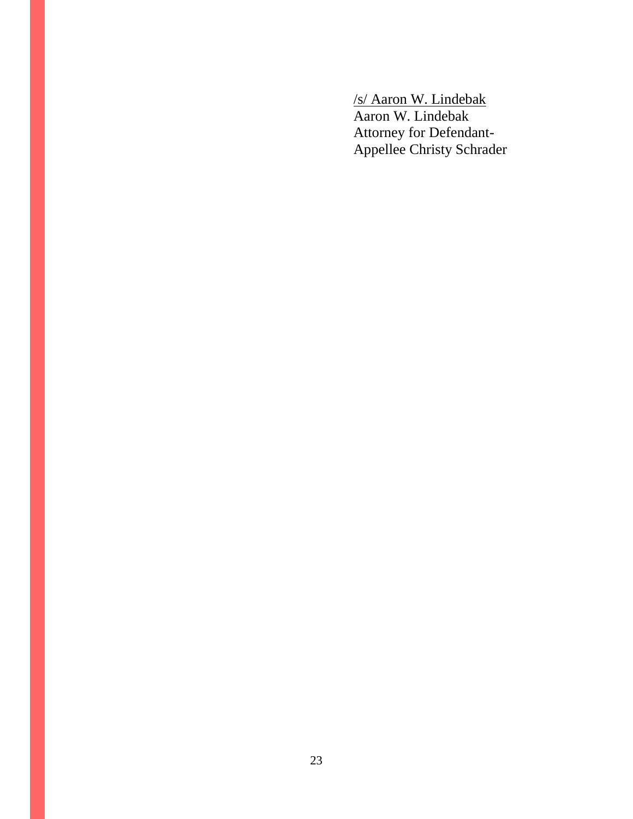/s/ Aaron W. Lindebak Aaron W. Lindebak Attorney for Defendant-Appellee Christy Schrader